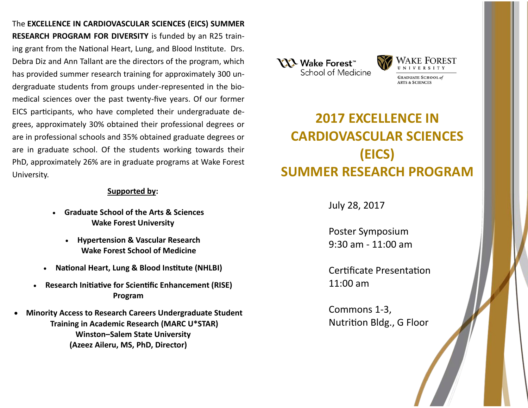The **EXCELLENCE IN CARDIOVASCULAR SCIENCES (EICS) SUMMER RESEARCH PROGRAM FOR DIVERSITY** is funded by an R25 training grant from the National Heart, Lung, and Blood Institute. Drs. Debra Diz and Ann Tallant are the directors of the program, which has provided summer research training for approximately 300 undergraduate students from groups under-represented in the biomedical sciences over the past twenty-five years. Of our former EICS participants, who have completed their undergraduate degrees, approximately 30% obtained their professional degrees or are in professional schools and 35% obtained graduate degrees or are in graduate school. Of the students working towards their PhD, approximately 26% are in graduate programs at Wake Forest University.

# **Supported by:**

- **Graduate School of the Arts & Sciences Wake Forest University**
	- **Hypertension & Vascular Research Wake Forest School of Medicine**
- **National Heart, Lung & Blood Institute (NHLBI)**
- **Research Initiative for Scientific Enhancement (RISE) Program**
- **Minority Access to Research Careers Undergraduate Student Training in Academic Research (MARC U\*STAR) Winston–Salem State University (Azeez Aileru, MS, PhD, Director)**





# **2017 EXCELLENCE IN CARDIOVASCULAR SCIENCES (EICS) SUMMER RESEARCH PROGRAM**

July 28, 2017

Poster Symposium 9:30 am - 11:00 am

Certificate Presentation 11:00 am

Commons 1-3, Nutrition Bldg., G Floor